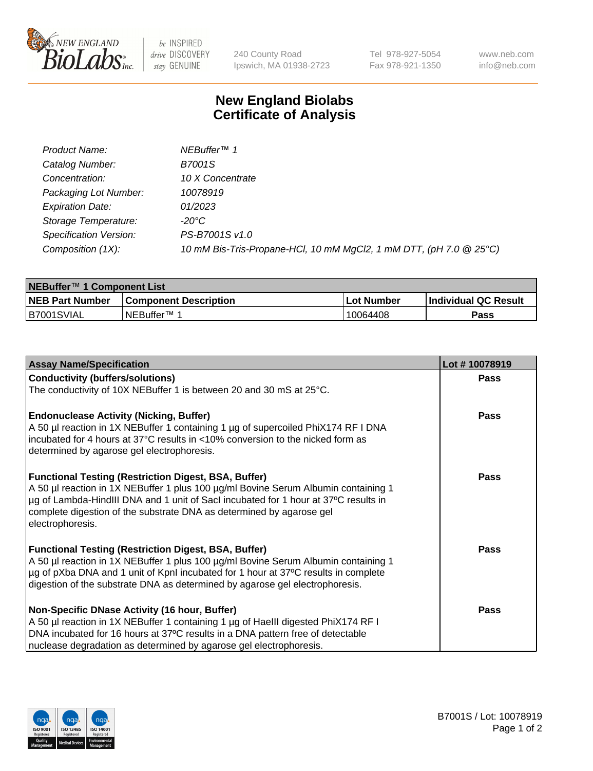

be INSPIRED drive DISCOVERY stay GENUINE

240 County Road Ipswich, MA 01938-2723

Tel 978-927-5054 Fax 978-921-1350 www.neb.com info@neb.com

## **New England Biolabs Certificate of Analysis**

| Product Name:                 | NEBuffer <sup>™</sup> 1                                            |
|-------------------------------|--------------------------------------------------------------------|
| Catalog Number:               | <b>B7001S</b>                                                      |
| Concentration:                | 10 X Concentrate                                                   |
| Packaging Lot Number:         | 10078919                                                           |
| <b>Expiration Date:</b>       | 01/2023                                                            |
| Storage Temperature:          | -20°C                                                              |
| <b>Specification Version:</b> | PS-B7001S v1.0                                                     |
| Composition (1X):             | 10 mM Bis-Tris-Propane-HCl, 10 mM MgCl2, 1 mM DTT, (pH 7.0 @ 25°C) |

| NEBuffer <sup>™</sup> 1 Component List |                              |                   |                      |  |
|----------------------------------------|------------------------------|-------------------|----------------------|--|
| <b>NEB Part Number</b>                 | <b>Component Description</b> | <b>Lot Number</b> | Individual QC Result |  |
| IB7001SVIAL                            | INEBuffer™ 1                 | 10064408          | Pass                 |  |

| <b>Assay Name/Specification</b>                                                                                                                   | Lot #10078919 |
|---------------------------------------------------------------------------------------------------------------------------------------------------|---------------|
| <b>Conductivity (buffers/solutions)</b>                                                                                                           | <b>Pass</b>   |
| The conductivity of 10X NEBuffer 1 is between 20 and 30 mS at 25°C.                                                                               |               |
|                                                                                                                                                   |               |
| <b>Endonuclease Activity (Nicking, Buffer)</b>                                                                                                    | Pass          |
| A 50 µl reaction in 1X NEBuffer 1 containing 1 µg of supercoiled PhiX174 RF I DNA                                                                 |               |
| incubated for 4 hours at 37°C results in <10% conversion to the nicked form as<br>determined by agarose gel electrophoresis.                      |               |
|                                                                                                                                                   |               |
| <b>Functional Testing (Restriction Digest, BSA, Buffer)</b>                                                                                       | Pass          |
| A 50 µl reaction in 1X NEBuffer 1 plus 100 µg/ml Bovine Serum Albumin containing 1                                                                |               |
| µg of Lambda-HindIII DNA and 1 unit of SacI incubated for 1 hour at 37°C results in                                                               |               |
| complete digestion of the substrate DNA as determined by agarose gel                                                                              |               |
| electrophoresis.                                                                                                                                  |               |
|                                                                                                                                                   | Pass          |
| <b>Functional Testing (Restriction Digest, BSA, Buffer)</b><br>A 50 µl reaction in 1X NEBuffer 1 plus 100 µg/ml Bovine Serum Albumin containing 1 |               |
| µg of pXba DNA and 1 unit of KpnI incubated for 1 hour at 37°C results in complete                                                                |               |
| digestion of the substrate DNA as determined by agarose gel electrophoresis.                                                                      |               |
|                                                                                                                                                   |               |
| Non-Specific DNase Activity (16 hour, Buffer)                                                                                                     | Pass          |
| A 50 µl reaction in 1X NEBuffer 1 containing 1 µg of HaellI digested PhiX174 RF I                                                                 |               |
| DNA incubated for 16 hours at 37°C results in a DNA pattern free of detectable                                                                    |               |
| nuclease degradation as determined by agarose gel electrophoresis.                                                                                |               |